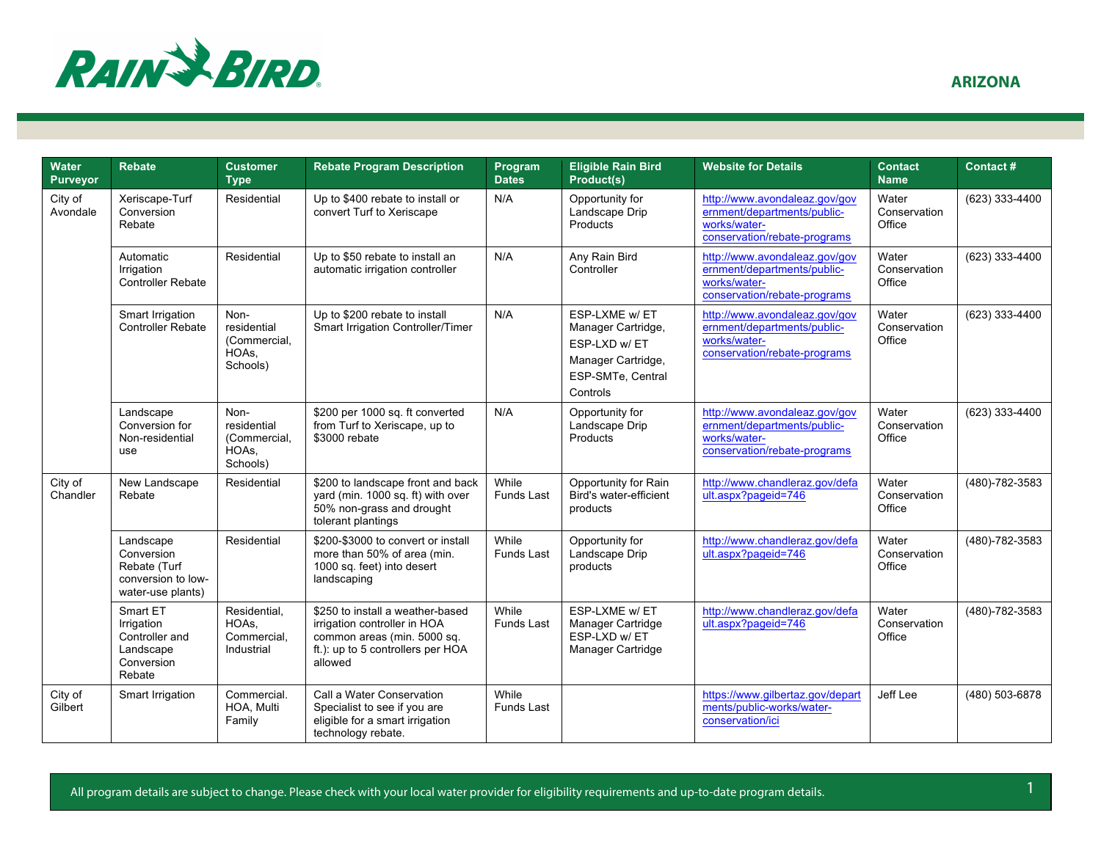

| Water<br><b>Purveyor</b> | <b>Rebate</b>                                                                      | <b>Customer</b><br><b>Type</b>                           | <b>Rebate Program Description</b>                                                                                                               | Program<br><b>Dates</b> | <b>Eligible Rain Bird</b><br>Product(s)                                                                    | <b>Website for Details</b>                                                                                   | <b>Contact</b><br><b>Name</b>   | Contact#       |
|--------------------------|------------------------------------------------------------------------------------|----------------------------------------------------------|-------------------------------------------------------------------------------------------------------------------------------------------------|-------------------------|------------------------------------------------------------------------------------------------------------|--------------------------------------------------------------------------------------------------------------|---------------------------------|----------------|
| City of<br>Avondale      | Xeriscape-Turf<br>Conversion<br>Rebate                                             | Residential                                              | Up to \$400 rebate to install or<br>convert Turf to Xeriscape                                                                                   | N/A                     | Opportunity for<br>Landscape Drip<br>Products                                                              | http://www.avondaleaz.gov/gov<br>ernment/departments/public-<br>works/water-<br>conservation/rebate-programs | Water<br>Conservation<br>Office | (623) 333-4400 |
|                          | Automatic<br>Irrigation<br><b>Controller Rebate</b>                                | Residential                                              | Up to \$50 rebate to install an<br>automatic irrigation controller                                                                              | N/A                     | Any Rain Bird<br>Controller                                                                                | http://www.avondaleaz.gov/gov<br>ernment/departments/public-<br>works/water-<br>conservation/rebate-programs | Water<br>Conservation<br>Office | (623) 333-4400 |
|                          | Smart Irrigation<br><b>Controller Rebate</b>                                       | Non-<br>residential<br>(Commercial,<br>HOAs,<br>Schools) | Up to \$200 rebate to install<br>Smart Irrigation Controller/Timer                                                                              | N/A                     | ESP-LXME w/ET<br>Manager Cartridge,<br>ESP-LXD w/ET<br>Manager Cartridge,<br>ESP-SMTe, Central<br>Controls | http://www.avondaleaz.gov/gov<br>ernment/departments/public-<br>works/water-<br>conservation/rebate-programs | Water<br>Conservation<br>Office | (623) 333-4400 |
|                          | Landscape<br>Conversion for<br>Non-residential<br>use                              | Non-<br>residential<br>(Commercial,<br>HOAs,<br>Schools) | \$200 per 1000 sq. ft converted<br>from Turf to Xeriscape, up to<br>\$3000 rebate                                                               | N/A                     | Opportunity for<br>Landscape Drip<br>Products                                                              | http://www.avondaleaz.gov/gov<br>ernment/departments/public-<br>works/water-<br>conservation/rebate-programs | Water<br>Conservation<br>Office | (623) 333-4400 |
| City of<br>Chandler      | New Landscape<br>Rebate                                                            | Residential                                              | \$200 to landscape front and back<br>yard (min. 1000 sq. ft) with over<br>50% non-grass and drought<br>tolerant plantings                       | While<br>Funds Last     | Opportunity for Rain<br>Bird's water-efficient<br>products                                                 | http://www.chandleraz.gov/defa<br>ult.aspx?pageid=746                                                        | Water<br>Conservation<br>Office | (480)-782-3583 |
|                          | Landscape<br>Conversion<br>Rebate (Turf<br>conversion to low-<br>water-use plants) | Residential                                              | \$200-\$3000 to convert or install<br>more than 50% of area (min.<br>1000 sq. feet) into desert<br>landscaping                                  | While<br>Funds Last     | Opportunity for<br>Landscape Drip<br>products                                                              | http://www.chandleraz.gov/defa<br>ult.aspx?pageid=746                                                        | Water<br>Conservation<br>Office | (480)-782-3583 |
|                          | Smart ET<br>Irrigation<br>Controller and<br>Landscape<br>Conversion<br>Rebate      | Residential,<br>HOAs,<br>Commercial.<br>Industrial       | \$250 to install a weather-based<br>irrigation controller in HOA<br>common areas (min. 5000 sq.<br>ft.): up to 5 controllers per HOA<br>allowed | While<br>Funds Last     | ESP-LXME w/ET<br>Manager Cartridge<br>ESP-LXD w/ET<br>Manager Cartridge                                    | http://www.chandleraz.gov/defa<br>ult.aspx?pageid=746                                                        | Water<br>Conservation<br>Office | (480)-782-3583 |
| City of<br>Gilbert       | Smart Irrigation                                                                   | Commercial.<br>HOA, Multi<br>Family                      | Call a Water Conservation<br>Specialist to see if you are<br>eligible for a smart irrigation<br>technology rebate.                              | While<br>Funds Last     |                                                                                                            | https://www.gilbertaz.gov/depart<br>ments/public-works/water-<br>conservation/ici                            | Jeff Lee                        | (480) 503-6878 |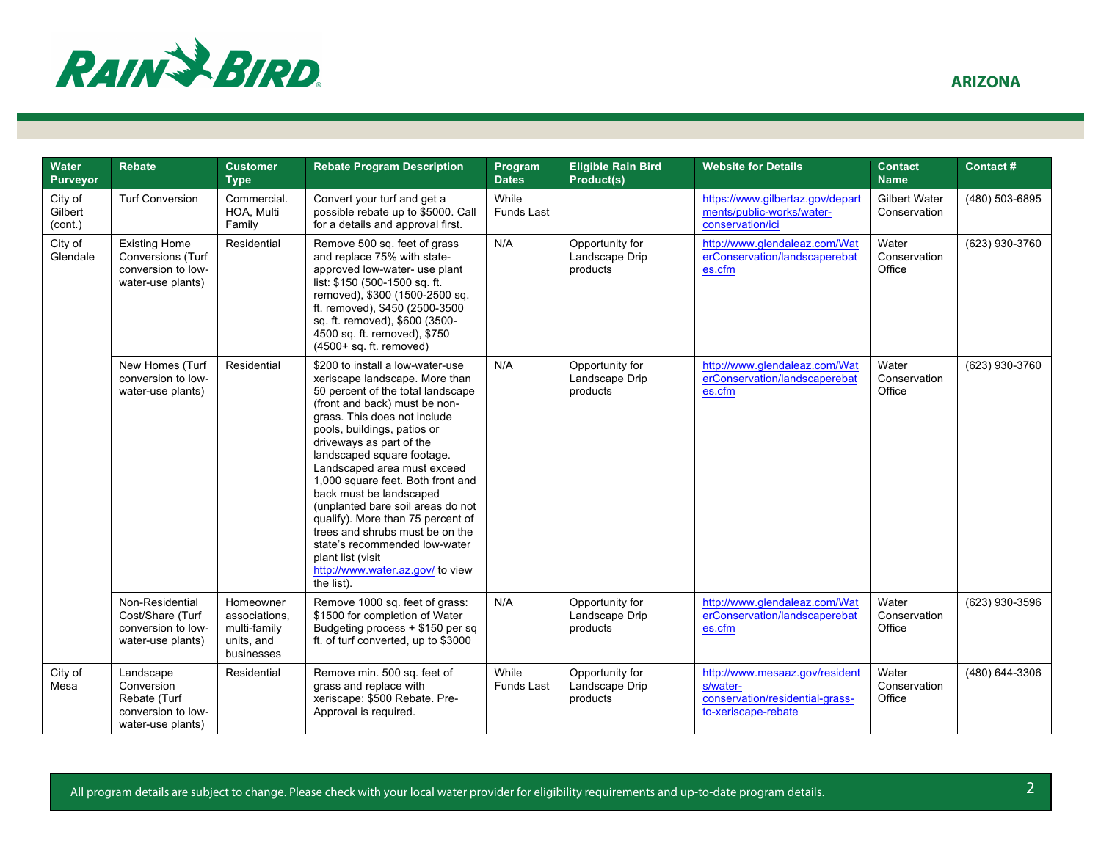

| <b>Water</b><br><b>Purveyor</b> | <b>Rebate</b>                                                                               | <b>Customer</b><br><b>Type</b>                                         | <b>Rebate Program Description</b>                                                                                                                                                                                                                                                                                                                                                                                                                                                                                                                                                     | Program<br><b>Dates</b>    | <b>Eligible Rain Bird</b><br>Product(s)       | <b>Website for Details</b>                                                                           | <b>Contact</b><br><b>Name</b>        | Contact#       |
|---------------------------------|---------------------------------------------------------------------------------------------|------------------------------------------------------------------------|---------------------------------------------------------------------------------------------------------------------------------------------------------------------------------------------------------------------------------------------------------------------------------------------------------------------------------------------------------------------------------------------------------------------------------------------------------------------------------------------------------------------------------------------------------------------------------------|----------------------------|-----------------------------------------------|------------------------------------------------------------------------------------------------------|--------------------------------------|----------------|
| City of<br>Gilbert<br>(cont.)   | <b>Turf Conversion</b>                                                                      | Commercial.<br>HOA, Multi<br>Family                                    | Convert your turf and get a<br>possible rebate up to \$5000. Call<br>for a details and approval first.                                                                                                                                                                                                                                                                                                                                                                                                                                                                                | While<br><b>Funds Last</b> |                                               | https://www.gilbertaz.gov/depart<br>ments/public-works/water-<br>conservation/ici                    | <b>Gilbert Water</b><br>Conservation | (480) 503-6895 |
| City of<br>Glendale             | <b>Existing Home</b><br><b>Conversions (Turf</b><br>conversion to low-<br>water-use plants) | Residential                                                            | Remove 500 sq. feet of grass<br>and replace 75% with state-<br>approved low-water- use plant<br>list: \$150 (500-1500 sq. ft.<br>removed), \$300 (1500-2500 sq.<br>ft. removed), \$450 (2500-3500<br>sq. ft. removed), \$600 (3500-<br>4500 sq. ft. removed), \$750<br>$(4500 + sq.$ ft. removed)                                                                                                                                                                                                                                                                                     | N/A                        | Opportunity for<br>Landscape Drip<br>products | http://www.glendaleaz.com/Wat<br>erConservation/landscaperebat<br>es.cfm                             | Water<br>Conservation<br>Office      | (623) 930-3760 |
|                                 | New Homes (Turf<br>conversion to low-<br>water-use plants)                                  | Residential                                                            | \$200 to install a low-water-use<br>xeriscape landscape. More than<br>50 percent of the total landscape<br>(front and back) must be non-<br>grass. This does not include<br>pools, buildings, patios or<br>driveways as part of the<br>landscaped square footage.<br>Landscaped area must exceed<br>1,000 square feet. Both front and<br>back must be landscaped<br>(unplanted bare soil areas do not<br>qualify). More than 75 percent of<br>trees and shrubs must be on the<br>state's recommended low-water<br>plant list (visit<br>http://www.water.az.gov/ to view<br>the list). | N/A                        | Opportunity for<br>Landscape Drip<br>products | http://www.glendaleaz.com/Wat<br>erConservation/landscaperebat<br>es.cfm                             | Water<br>Conservation<br>Office      | (623) 930-3760 |
|                                 | Non-Residential<br>Cost/Share (Turf<br>conversion to low-<br>water-use plants)              | Homeowner<br>associations.<br>multi-family<br>units, and<br>businesses | Remove 1000 sq. feet of grass:<br>\$1500 for completion of Water<br>Budgeting process + \$150 per sq<br>ft. of turf converted, up to \$3000                                                                                                                                                                                                                                                                                                                                                                                                                                           | N/A                        | Opportunity for<br>Landscape Drip<br>products | http://www.glendaleaz.com/Wat<br>erConservation/landscaperebat<br>es.cfm                             | Water<br>Conservation<br>Office      | (623) 930-3596 |
| City of<br>Mesa                 | Landscape<br>Conversion<br>Rebate (Turf<br>conversion to low-<br>water-use plants)          | Residential                                                            | Remove min. 500 sq. feet of<br>grass and replace with<br>xeriscape: \$500 Rebate. Pre-<br>Approval is required.                                                                                                                                                                                                                                                                                                                                                                                                                                                                       | While<br><b>Funds Last</b> | Opportunity for<br>Landscape Drip<br>products | http://www.mesaaz.gov/resident<br>s/water-<br>conservation/residential-grass-<br>to-xeriscape-rebate | Water<br>Conservation<br>Office      | (480) 644-3306 |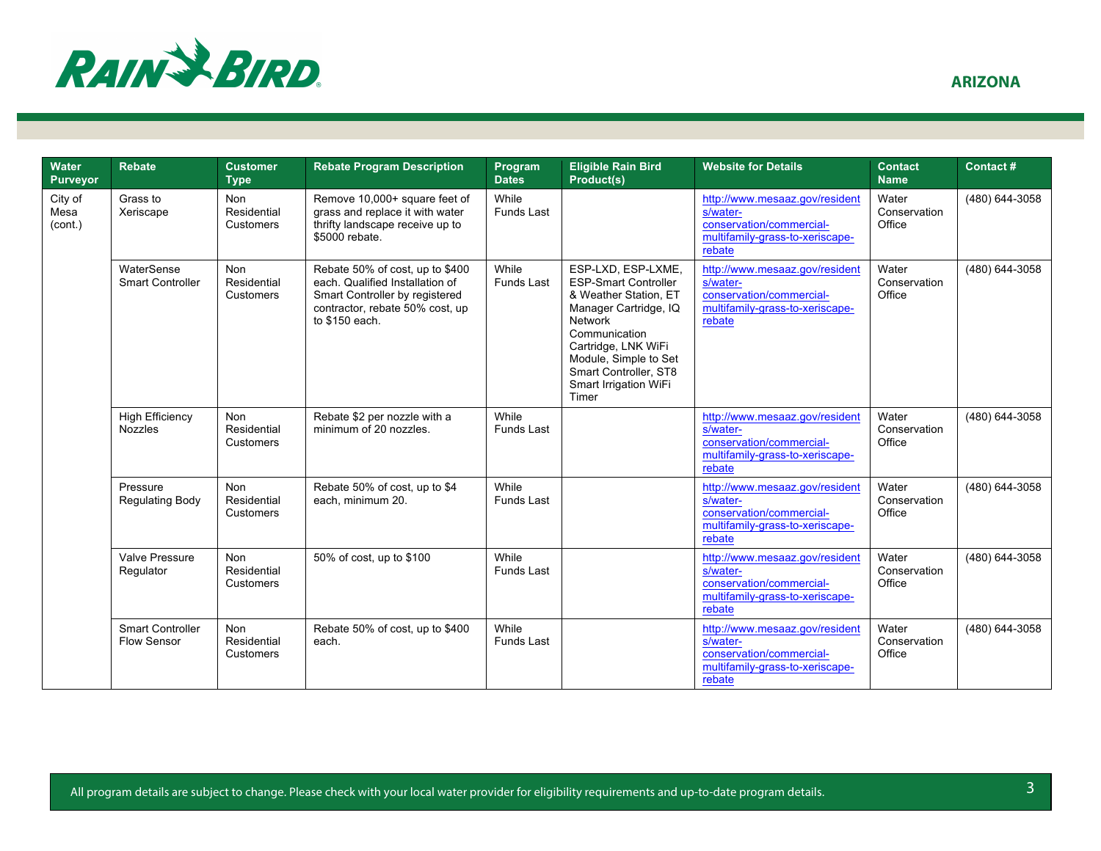

| Water<br><b>Purveyor</b>   | Rebate                                 | <b>Customer</b><br><b>Type</b>         | <b>Rebate Program Description</b>                                                                                                                         | Program<br><b>Dates</b>    | <b>Eligible Rain Bird</b><br>Product(s)                                                                                                                                                                                                           | <b>Website for Details</b>                                                                                          | <b>Contact</b><br><b>Name</b>   | Contact#       |
|----------------------------|----------------------------------------|----------------------------------------|-----------------------------------------------------------------------------------------------------------------------------------------------------------|----------------------------|---------------------------------------------------------------------------------------------------------------------------------------------------------------------------------------------------------------------------------------------------|---------------------------------------------------------------------------------------------------------------------|---------------------------------|----------------|
| City of<br>Mesa<br>(cont.) | Grass to<br>Xeriscape                  | Non<br>Residential<br>Customers        | Remove 10,000+ square feet of<br>grass and replace it with water<br>thrifty landscape receive up to<br>\$5000 rebate.                                     | While<br><b>Funds Last</b> |                                                                                                                                                                                                                                                   | http://www.mesaaz.gov/resident<br>s/water-<br>conservation/commercial-<br>multifamily-grass-to-xeriscape-<br>rebate | Water<br>Conservation<br>Office | (480) 644-3058 |
|                            | WaterSense<br><b>Smart Controller</b>  | <b>Non</b><br>Residential<br>Customers | Rebate 50% of cost, up to \$400<br>each. Qualified Installation of<br>Smart Controller by registered<br>contractor, rebate 50% cost, up<br>to \$150 each. | While<br>Funds Last        | ESP-LXD, ESP-LXME,<br><b>ESP-Smart Controller</b><br>& Weather Station, ET<br>Manager Cartridge, IQ<br><b>Network</b><br>Communication<br>Cartridge, LNK WiFi<br>Module, Simple to Set<br>Smart Controller, ST8<br>Smart Irrigation WiFi<br>Timer | http://www.mesaaz.gov/resident<br>s/water-<br>conservation/commercial-<br>multifamily-grass-to-xeriscape-<br>rebate | Water<br>Conservation<br>Office | (480) 644-3058 |
|                            | <b>High Efficiency</b><br>Nozzles      | <b>Non</b><br>Residential<br>Customers | Rebate \$2 per nozzle with a<br>minimum of 20 nozzles.                                                                                                    | While<br><b>Funds Last</b> |                                                                                                                                                                                                                                                   | http://www.mesaaz.gov/resident<br>s/water-<br>conservation/commercial-<br>multifamily-grass-to-xeriscape-<br>rebate | Water<br>Conservation<br>Office | (480) 644-3058 |
|                            | Pressure<br><b>Regulating Body</b>     | <b>Non</b><br>Residential<br>Customers | Rebate 50% of cost, up to \$4<br>each, minimum 20.                                                                                                        | While<br><b>Funds Last</b> |                                                                                                                                                                                                                                                   | http://www.mesaaz.gov/resident<br>s/water-<br>conservation/commercial-<br>multifamily-grass-to-xeriscape-<br>rebate | Water<br>Conservation<br>Office | (480) 644-3058 |
|                            | Valve Pressure<br>Regulator            | <b>Non</b><br>Residential<br>Customers | 50% of cost, up to \$100                                                                                                                                  | While<br><b>Funds Last</b> |                                                                                                                                                                                                                                                   | http://www.mesaaz.gov/resident<br>s/water-<br>conservation/commercial-<br>multifamily-grass-to-xeriscape-<br>rebate | Water<br>Conservation<br>Office | (480) 644-3058 |
|                            | <b>Smart Controller</b><br>Flow Sensor | <b>Non</b><br>Residential<br>Customers | Rebate 50% of cost, up to \$400<br>each.                                                                                                                  | While<br><b>Funds Last</b> |                                                                                                                                                                                                                                                   | http://www.mesaaz.gov/resident<br>s/water-<br>conservation/commercial-<br>multifamily-grass-to-xeriscape-<br>rebate | Water<br>Conservation<br>Office | (480) 644-3058 |

**ARIZONA**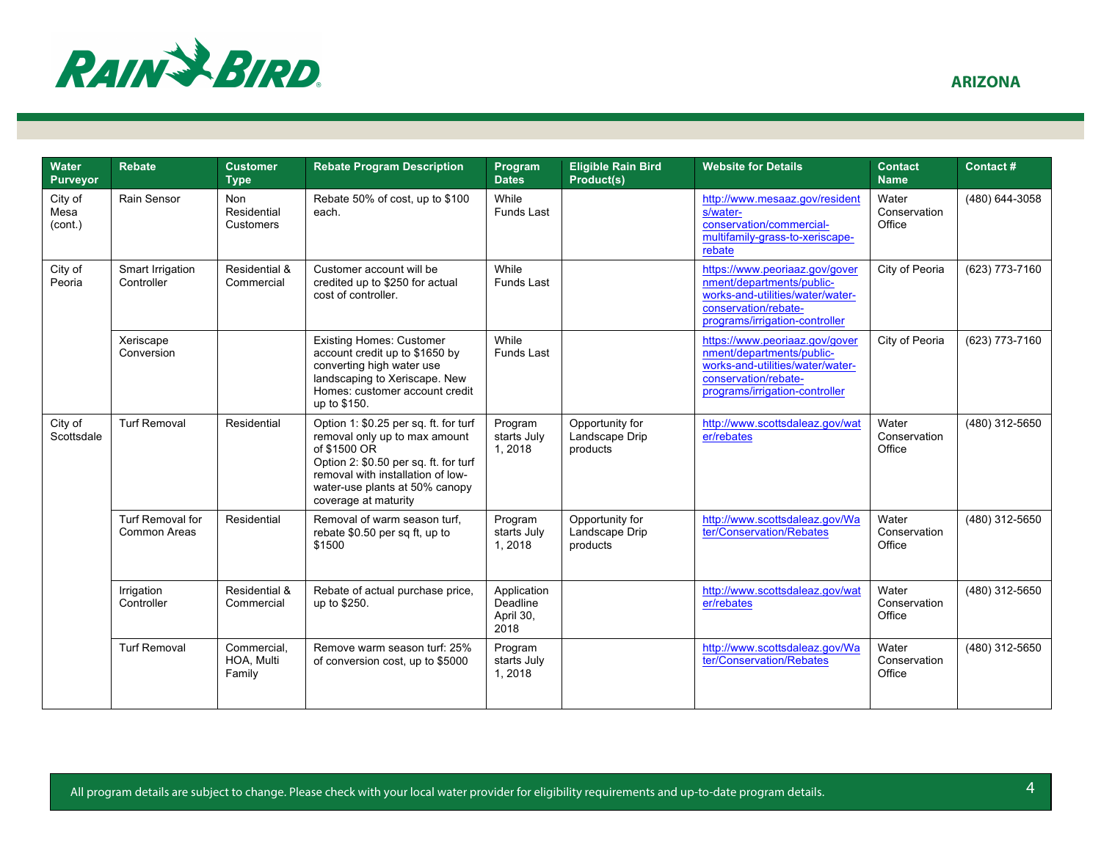

| Water<br><b>Purveyor</b>   | <b>Rebate</b>                           | <b>Customer</b><br><b>Type</b>      | <b>Rebate Program Description</b>                                                                                                                                                                                              | Program<br><b>Dates</b>                      | <b>Eligible Rain Bird</b><br>Product(s)       | <b>Website for Details</b>                                                                                                                                | <b>Contact</b><br><b>Name</b>   | Contact#       |
|----------------------------|-----------------------------------------|-------------------------------------|--------------------------------------------------------------------------------------------------------------------------------------------------------------------------------------------------------------------------------|----------------------------------------------|-----------------------------------------------|-----------------------------------------------------------------------------------------------------------------------------------------------------------|---------------------------------|----------------|
| City of<br>Mesa<br>(cont.) | Rain Sensor                             | Non<br>Residential<br>Customers     | Rebate 50% of cost, up to \$100<br>each.                                                                                                                                                                                       | While<br>Funds Last                          |                                               | http://www.mesaaz.gov/resident<br>s/water-<br>conservation/commercial-<br>multifamily-grass-to-xeriscape-<br>rebate                                       | Water<br>Conservation<br>Office | (480) 644-3058 |
| City of<br>Peoria          | Smart Irrigation<br>Controller          | Residential &<br>Commercial         | Customer account will be<br>credited up to \$250 for actual<br>cost of controller.                                                                                                                                             | While<br><b>Funds Last</b>                   |                                               | https://www.peoriaaz.gov/gover<br>nment/departments/public-<br>works-and-utilities/water/water-<br>conservation/rebate-<br>programs/irrigation-controller | City of Peoria                  | (623) 773-7160 |
|                            | Xeriscape<br>Conversion                 |                                     | <b>Existing Homes: Customer</b><br>account credit up to \$1650 by<br>converting high water use<br>landscaping to Xeriscape. New<br>Homes: customer account credit<br>up to \$150.                                              | While<br><b>Funds Last</b>                   |                                               | https://www.peoriaaz.gov/gover<br>nment/departments/public-<br>works-and-utilities/water/water-<br>conservation/rebate-<br>programs/irrigation-controller | City of Peoria                  | (623) 773-7160 |
| City of<br>Scottsdale      | <b>Turf Removal</b>                     | Residential                         | Option 1: \$0.25 per sq. ft. for turf<br>removal only up to max amount<br>of \$1500 OR<br>Option 2: \$0.50 per sq. ft. for turf<br>removal with installation of low-<br>water-use plants at 50% canopy<br>coverage at maturity | Program<br>starts July<br>1, 2018            | Opportunity for<br>Landscape Drip<br>products | http://www.scottsdaleaz.gov/wat<br>er/rebates                                                                                                             | Water<br>Conservation<br>Office | (480) 312-5650 |
|                            | <b>Turf Removal for</b><br>Common Areas | Residential                         | Removal of warm season turf,<br>rebate \$0.50 per sq ft, up to<br>\$1500                                                                                                                                                       | Program<br>starts July<br>1, 2018            | Opportunity for<br>Landscape Drip<br>products | http://www.scottsdaleaz.gov/Wa<br>ter/Conservation/Rebates                                                                                                | Water<br>Conservation<br>Office | (480) 312-5650 |
|                            | Irrigation<br>Controller                | Residential &<br>Commercial         | Rebate of actual purchase price,<br>up to \$250.                                                                                                                                                                               | Application<br>Deadline<br>April 30,<br>2018 |                                               | http://www.scottsdaleaz.gov/wat<br>er/rebates                                                                                                             | Water<br>Conservation<br>Office | (480) 312-5650 |
|                            | <b>Turf Removal</b>                     | Commercial,<br>HOA. Multi<br>Family | Remove warm season turf: 25%<br>of conversion cost, up to \$5000                                                                                                                                                               | Program<br>starts July<br>1,2018             |                                               | http://www.scottsdaleaz.gov/Wa<br>ter/Conservation/Rebates                                                                                                | Water<br>Conservation<br>Office | (480) 312-5650 |